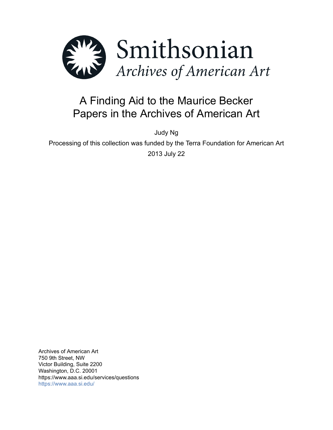

# A Finding Aid to the Maurice Becker Papers in the Archives of American Art

Judy Ng

Processing of this collection was funded by the Terra Foundation for American Art 2013 July 22

Archives of American Art 750 9th Street, NW Victor Building, Suite 2200 Washington, D.C. 20001 https://www.aaa.si.edu/services/questions <https://www.aaa.si.edu/>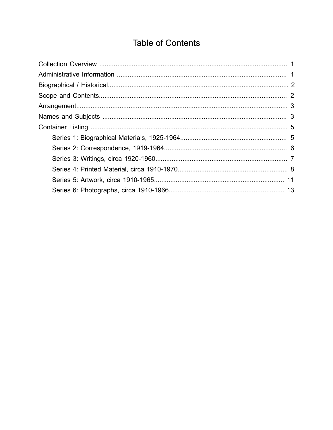# **Table of Contents**

<span id="page-1-0"></span>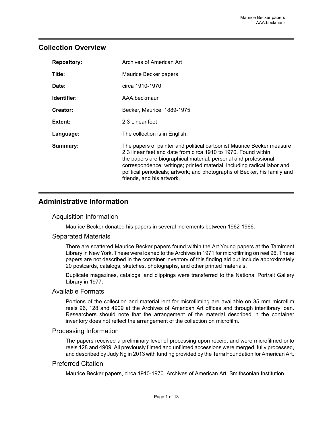## <span id="page-2-0"></span>**Collection Overview**

| <b>Repository:</b> | Archives of American Art                                                                                                                                                                                                                                                                                                                                                                        |
|--------------------|-------------------------------------------------------------------------------------------------------------------------------------------------------------------------------------------------------------------------------------------------------------------------------------------------------------------------------------------------------------------------------------------------|
| Title:             | Maurice Becker papers                                                                                                                                                                                                                                                                                                                                                                           |
| Date:              | circa 1910-1970                                                                                                                                                                                                                                                                                                                                                                                 |
| Identifier:        | AAA.beckmaur                                                                                                                                                                                                                                                                                                                                                                                    |
| Creator:           | Becker, Maurice, 1889-1975                                                                                                                                                                                                                                                                                                                                                                      |
| Extent:            | 2.3 Linear feet                                                                                                                                                                                                                                                                                                                                                                                 |
| Language:          | The collection is in English.                                                                                                                                                                                                                                                                                                                                                                   |
| Summary:           | The papers of painter and political cartoonist Maurice Becker measure<br>2.3 linear feet and date from circa 1910 to 1970. Found within<br>the papers are biographical material; personal and professional<br>correspondence; writings; printed material, including radical labor and<br>political periodicals; artwork; and photographs of Becker, his family and<br>friends, and his artwork. |

# <span id="page-2-1"></span>**Administrative Information**

## Acquisition Information

Maurice Becker donated his papers in several increments between 1962-1966.

## Separated Materials

There are scattered Maurice Becker papers found within the Art Young papers at the Tamiment Library in New York. These were loaned to the Archives in 1971 for microfilming on reel 96. These papers are not described in the container inventory of this finding aid but include approximately 20 postcards, catalogs, sketches, photographs, and other printed materials.

Duplicate magazines, catalogs, and clippings were transferred to the National Portrait Gallery Library in 1977.

## Available Formats

Portions of the collection and material lent for microfilming are available on 35 mm microfilm reels 96, 128 and 4909 at the Archives of American Art offices and through interlibrary loan. Researchers should note that the arrangement of the material described in the container inventory does not reflect the arrangement of the collection on microfilm.

## Processing Information

The papers received a preliminary level of processing upon receipt and were microfilmed onto reels 128 and 4909. All previously filmed and unfilmed accessions were merged, fully processed, and described by Judy Ng in 2013 with funding provided by the Terra Foundation for American Art.

## Preferred Citation

Maurice Becker papers, circa 1910-1970. Archives of American Art, Smithsonian Institution.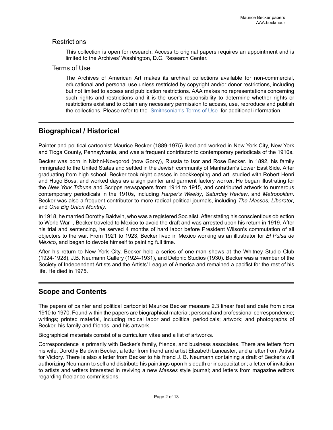## **Restrictions**

This collection is open for research. Access to original papers requires an appointment and is limited to the Archives' Washington, D.C. Research Center.

## Terms of Use

The Archives of American Art makes its archival collections available for non-commercial, educational and personal use unless restricted by copyright and/or donor restrictions, including but not limited to access and publication restrictions. AAA makes no representations concerning such rights and restrictions and it is the user's responsibility to determine whether rights or restrictions exist and to obtain any necessary permission to access, use, reproduce and publish the collections. Please refer to the [Smithsonian's](https://www.si.edu/termsofuse) Terms of Use for additional information.

# <span id="page-3-0"></span>**Biographical / Historical**

Painter and political cartoonist Maurice Becker (1889-1975) lived and worked in New York City, New York and Tioga County, Pennsylvania, and was a frequent contributor to contemporary periodicals of the 1910s.

Becker was born in Nizhni-Novgorod (now Gorky), Russia to Isor and Rose Becker. In 1892, his family immigrated to the United States and settled in the Jewish community of Manhattan's Lower East Side. After graduating from high school, Becker took night classes in bookkeeping and art, studied with Robert Henri and Hugo Boss, and worked days as a sign painter and garment factory worker. He began illustrating for the *New York Tribune* and Scripps newspapers from 1914 to 1915, and contributed artwork to numerous contemporary periodicals in the 1910s, including *Harper's Weekly*, *Saturday Review*, and *Metropolitan*. Becker was also a frequent contributor to more radical political journals, including *The Masses*, *Liberator*, and *One Big Union Monthly*.

In 1918, he married Dorothy Baldwin, who was a registered Socialist. After stating his conscientious objection to World War I, Becker traveled to Mexico to avoid the draft and was arrested upon his return in 1919. After his trial and sentencing, he served 4 months of hard labor before President Wilson's commutation of all objectors to the war. From 1921 to 1923, Becker lived in Mexico working as an illustrator for *El Pulsa de México*, and began to devote himself to painting full time.

After his return to New York City, Becker held a series of one-man shows at the Whitney Studio Club (1924-1928), J.B. Neumann Gallery (1924-1931), and Delphic Studios (1930). Becker was a member of the Society of Independent Artists and the Artists' League of America and remained a pacifist for the rest of his life. He died in 1975.

# <span id="page-3-1"></span>**Scope and Contents**

The papers of painter and political cartoonist Maurice Becker measure 2.3 linear feet and date from circa 1910 to 1970. Found within the papers are biographical material; personal and professional correspondence; writings; printed material, including radical labor and political periodicals; artwork; and photographs of Becker, his family and friends, and his artwork.

Biographical materials consist of a curriculum vitae and a list of artworks.

Correspondence is primarily with Becker's family, friends, and business associates. There are letters from his wife, Dorothy Baldwin Becker, a letter from friend and artist Elizabeth Lancaster, and a letter from Artists for Victory. There is also a letter from Becker to his friend J. B. Neumann containing a draft of Becker's will authorizing Neumann to sell and distribute his paintings upon his death or incapacitation; a letter of invitation to artists and writers interested in reviving a new *Masses* style journal; and letters from magazine editors regarding freelance commissions.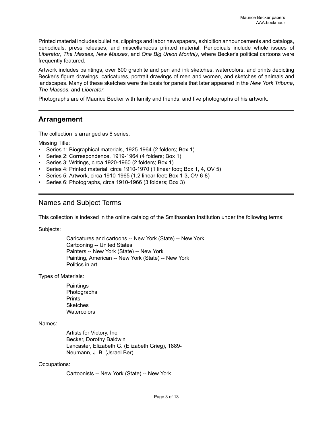Printed material includes bulletins, clippings and labor newspapers, exhibition announcements and catalogs, periodicals, press releases, and miscellaneous printed material. Periodicals include whole issues of *Liberator*, *The Masses*, *New Masses*, and *One Big Union Monthly*, where Becker's political cartoons were frequently featured.

Artwork includes paintings, over 800 graphite and pen and ink sketches, watercolors, and prints depicting Becker's figure drawings, caricatures, portrait drawings of men and women, and sketches of animals and landscapes. Many of these sketches were the basis for panels that later appeared in the *New York Tribune*, *The Masses*, and *Liberator*.

Photographs are of Maurice Becker with family and friends, and five photographs of his artwork.

# <span id="page-4-0"></span>**Arrangement**

The collection is arranged as 6 series.

Missing Title:

- Series 1: Biographical materials, 1925-1964 (2 folders; Box 1)
- Series 2: Correspondence, 1919-1964 (4 folders; Box 1)
- Series 3: Writings, circa 1920-1960 (2 folders; Box 1)
- Series 4: Printed material, circa 1910-1970 (1 linear foot; Box 1, 4, OV 5)
- Series 5: Artwork, circa 1910-1965 (1.2 linear feet; Box 1-3, OV 6-8)
- Series 6: Photographs, circa 1910-1966 (3 folders; Box 3)

## <span id="page-4-1"></span>Names and Subject Terms

This collection is indexed in the online catalog of the Smithsonian Institution under the following terms:

Subjects:

Caricatures and cartoons -- New York (State) -- New York Cartooning -- United States Painters -- New York (State) -- New York Painting, American -- New York (State) -- New York Politics in art

Types of Materials:

**Paintings** Photographs **Prints Sketches Watercolors** 

Names:

Artists for Victory, Inc. Becker, Dorothy Baldwin Lancaster, Elizabeth G. (Elizabeth Grieg), 1889- Neumann, J. B. (Jsrael Ber)

#### Occupations:

Cartoonists -- New York (State) -- New York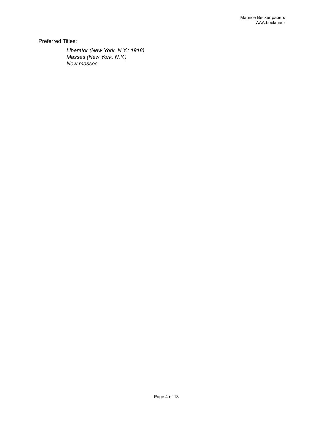Preferred Titles:

*Liberator (New York, N.Y.: 1918) Masses (New York, N.Y.) New masses*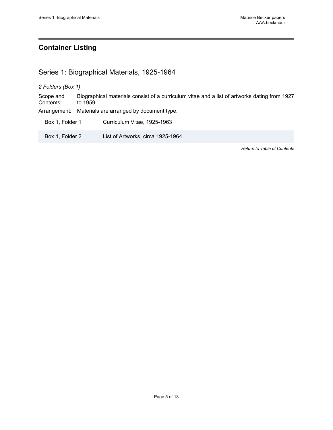# <span id="page-6-0"></span>**Container Listing**

# <span id="page-6-1"></span>Series 1: Biographical Materials, 1925-1964

*2 Folders (Box 1)*

Scope and Contents: Biographical materials consist of a curriculum vitae and a list of artworks dating from 1927 to 1959.

Arrangement: Materials are arranged by document type.

Box 1, Folder 1 Curriculum Vitae, 1925-1963

Box 1, Folder 2 List of Artworks, circa 1925-1964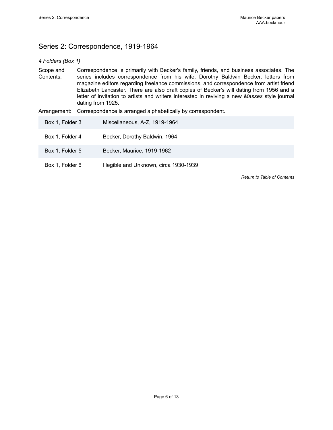# <span id="page-7-0"></span>Series 2: Correspondence, 1919-1964

## *4 Folders (Box 1)*

Scope and Contents: Correspondence is primarily with Becker's family, friends, and business associates. The series includes correspondence from his wife, Dorothy Baldwin Becker, letters from magazine editors regarding freelance commissions, and correspondence from artist friend Elizabeth Lancaster. There are also draft copies of Becker's will dating from 1956 and a letter of invitation to artists and writers interested in reviving a new *Masses* style journal dating from 1925.

Arrangement: Correspondence is arranged alphabetically by correspondent.

| Box 1, Folder 3 | Miscellaneous, A-Z, 1919-1964          |
|-----------------|----------------------------------------|
| Box 1, Folder 4 | Becker, Dorothy Baldwin, 1964          |
| Box 1, Folder 5 | Becker, Maurice, 1919-1962             |
| Box 1, Folder 6 | Illegible and Unknown, circa 1930-1939 |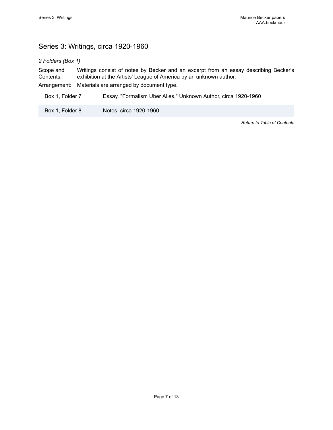# <span id="page-8-0"></span>Series 3: Writings, circa 1920-1960

*2 Folders (Box 1)*

Scope and Contents: Writings consist of notes by Becker and an excerpt from an essay describing Becker's exhibition at the Artists' League of America by an unknown author. Arrangement: Materials are arranged by document type.

Box 1, Folder 7 Essay, "Formalism Uber Alles," Unknown Author, circa 1920-1960

Box 1, Folder 8 Notes, circa 1920-1960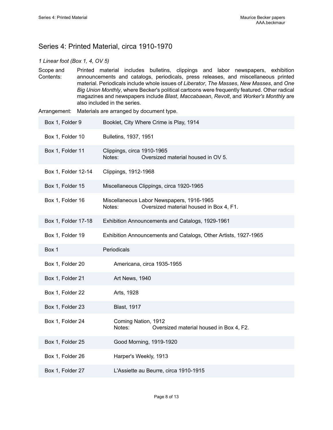# <span id="page-9-0"></span>Series 4: Printed Material, circa 1910-1970

## *1 Linear foot (Box 1, 4, OV 5)*

Scope and Contents: Printed material includes bulletins, clippings and labor newspapers, exhibition announcements and catalogs, periodicals, press releases, and miscellaneous printed material. Periodicals include whole issues of *Liberator*, *The Masses*, *New Masses*, and *One Big Union Monthly*, where Becker's political cartoons were frequently featured. Other radical magazines and newspapers include *Blast*, *Maccabaean*, *Revolt*, and *Worker's Monthly* are also included in the series.

Arrangement: Materials are arranged by document type.

| Box 1, Folder 9     | Booklet, City Where Crime is Play, 1914                                                        |
|---------------------|------------------------------------------------------------------------------------------------|
| Box 1, Folder 10    | Bulletins, 1937, 1951                                                                          |
| Box 1, Folder 11    | Clippings, circa 1910-1965<br>Notes:<br>Oversized material housed in OV 5.                     |
| Box 1, Folder 12-14 | Clippings, 1912-1968                                                                           |
| Box 1, Folder 15    | Miscellaneous Clippings, circa 1920-1965                                                       |
| Box 1, Folder 16    | Miscellaneous Labor Newspapers, 1916-1965<br>Oversized material housed in Box 4, F1.<br>Notes: |
| Box 1, Folder 17-18 | Exhibition Announcements and Catalogs, 1929-1961                                               |
| Box 1, Folder 19    | Exhibition Announcements and Catalogs, Other Artists, 1927-1965                                |
| Box 1               | Periodicals                                                                                    |
| Box 1, Folder 20    | Americana, circa 1935-1955                                                                     |
| Box 1, Folder 21    | Art News, 1940                                                                                 |
| Box 1, Folder 22    | Arts, 1928                                                                                     |
| Box 1, Folder 23    | <b>Blast, 1917</b>                                                                             |
| Box 1, Folder 24    | Coming Nation, 1912<br>Notes:<br>Oversized material housed in Box 4, F2.                       |
| Box 1, Folder 25    | Good Morning, 1919-1920                                                                        |
| Box 1, Folder 26    | Harper's Weekly, 1913                                                                          |
| Box 1, Folder 27    | L'Assiette au Beurre, circa 1910-1915                                                          |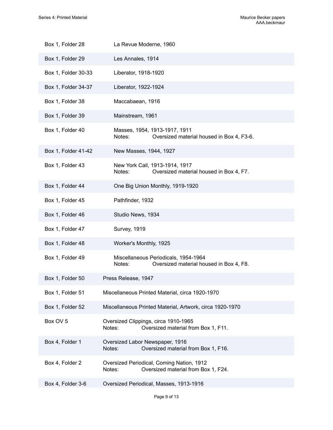| Box 1, Folder 28    | La Revue Moderne, 1960                                                                     |
|---------------------|--------------------------------------------------------------------------------------------|
| Box 1, Folder 29    | Les Annales, 1914                                                                          |
| Box 1, Folder 30-33 | Liberator, 1918-1920                                                                       |
| Box 1, Folder 34-37 | Liberator, 1922-1924                                                                       |
| Box 1, Folder 38    | Maccabaean, 1916                                                                           |
| Box 1, Folder 39    | Mainstream, 1961                                                                           |
| Box 1, Folder 40    | Masses, 1954, 1913-1917, 1911<br>Oversized material housed in Box 4, F3-6.<br>Notes:       |
| Box 1, Folder 41-42 | New Masses, 1944, 1927                                                                     |
| Box 1, Folder 43    | New York Call, 1913-1914, 1917<br>Oversized material housed in Box 4, F7.<br>Notes:        |
| Box 1, Folder 44    | One Big Union Monthly, 1919-1920                                                           |
| Box 1, Folder 45    | Pathfinder, 1932                                                                           |
| Box 1, Folder 46    | Studio News, 1934                                                                          |
| Box 1, Folder 47    | <b>Survey, 1919</b>                                                                        |
| Box 1, Folder 48    | Worker's Monthly, 1925                                                                     |
| Box 1, Folder 49    | Miscellaneous Periodicals, 1954-1964<br>Oversized material housed in Box 4, F8.<br>Notes:  |
| Box 1, Folder 50    | Press Release, 1947                                                                        |
| Box 1, Folder 51    | Miscellaneous Printed Material, circa 1920-1970                                            |
| Box 1, Folder 52    | Miscellaneous Printed Material, Artwork, circa 1920-1970                                   |
| Box OV 5            | Oversized Clippings, circa 1910-1965<br>Oversized material from Box 1, F11.<br>Notes:      |
| Box 4, Folder 1     | Oversized Labor Newspaper, 1916<br>Oversized material from Box 1, F16.<br>Notes:           |
| Box 4, Folder 2     | Oversized Periodical, Coming Nation, 1912<br>Oversized material from Box 1, F24.<br>Notes: |
| Box 4, Folder 3-6   | Oversized Periodical, Masses, 1913-1916                                                    |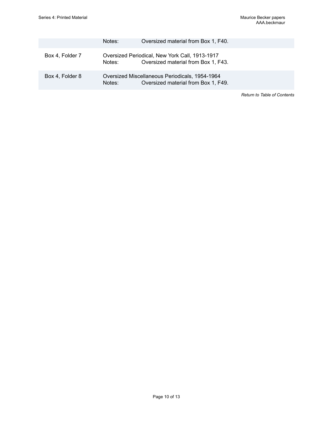|                 | Notes: | Oversized material from Box 1, F40.                                                   |
|-----------------|--------|---------------------------------------------------------------------------------------|
| Box 4, Folder 7 | Notes: | Oversized Periodical, New York Call, 1913-1917<br>Oversized material from Box 1, F43. |
| Box 4, Folder 8 | Notes: | Oversized Miscellaneous Periodicals, 1954-1964<br>Oversized material from Box 1, F49. |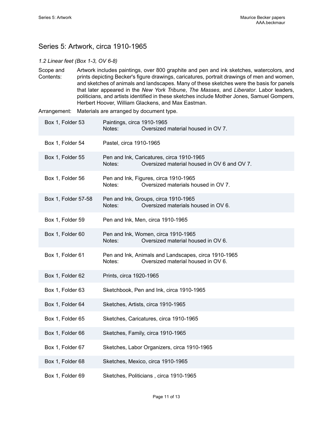# <span id="page-12-0"></span>Series 5: Artwork, circa 1910-1965

#### *1.2 Linear feet (Box 1-3, OV 6-8)*

Scope and Contents: Artwork includes paintings, over 800 graphite and pen and ink sketches, watercolors, and prints depicting Becker's figure drawings, caricatures, portrait drawings of men and women, and sketches of animals and landscapes. Many of these sketches were the basis for panels that later appeared in the *New York Tribune*, *The Masses*, and *Liberator*. Labor leaders, politicians, and artists identified in these sketches include Mother Jones, Samuel Gompers, Herbert Hoover, William Glackens, and Max Eastman.

Arrangement: Materials are arranged by document type.

| Box 1, Folder 53    | Paintings, circa 1910-1965<br>Notes:<br>Oversized material housed in OV 7.                           |
|---------------------|------------------------------------------------------------------------------------------------------|
| Box 1, Folder 54    | Pastel, circa 1910-1965                                                                              |
| Box 1, Folder 55    | Pen and Ink, Caricatures, circa 1910-1965<br>Notes:<br>Oversized material housed in OV 6 and OV 7.   |
| Box 1, Folder 56    | Pen and Ink, Figures, circa 1910-1965<br>Notes:<br>Oversized materials housed in OV 7.               |
| Box 1, Folder 57-58 | Pen and Ink, Groups, circa 1910-1965<br>Notes:<br>Oversized materials housed in OV 6.                |
| Box 1, Folder 59    | Pen and Ink, Men, circa 1910-1965                                                                    |
| Box 1, Folder 60    | Pen and Ink, Women, circa 1910-1965<br>Notes:<br>Oversized material housed in OV 6.                  |
| Box 1, Folder 61    | Pen and Ink, Animals and Landscapes, circa 1910-1965<br>Oversized material housed in OV 6.<br>Notes: |
| Box 1, Folder 62    | Prints, circa 1920-1965                                                                              |
| Box 1, Folder 63    | Sketchbook, Pen and Ink, circa 1910-1965                                                             |
| Box 1, Folder 64    | Sketches, Artists, circa 1910-1965                                                                   |
| Box 1, Folder 65    | Sketches, Caricatures, circa 1910-1965                                                               |
| Box 1, Folder 66    | Sketches, Family, circa 1910-1965                                                                    |
| Box 1, Folder 67    | Sketches, Labor Organizers, circa 1910-1965                                                          |
| Box 1, Folder 68    | Sketches, Mexico, circa 1910-1965                                                                    |
| Box 1, Folder 69    | Sketches, Politicians, circa 1910-1965                                                               |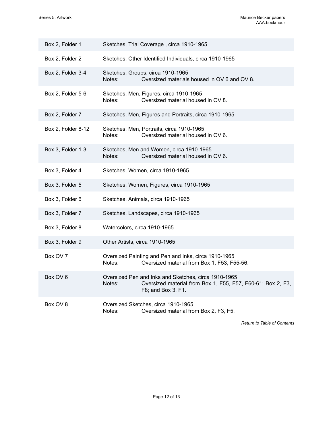| Box 2, Folder 1    | Sketches, Trial Coverage, circa 1910-1965                                                                                                           |
|--------------------|-----------------------------------------------------------------------------------------------------------------------------------------------------|
| Box 2, Folder 2    | Sketches, Other Identified Individuals, circa 1910-1965                                                                                             |
| Box 2, Folder 3-4  | Sketches, Groups, circa 1910-1965<br>Oversized materials housed in OV 6 and OV 8.<br>Notes:                                                         |
| Box 2, Folder 5-6  | Sketches, Men, Figures, circa 1910-1965<br>Oversized material housed in OV 8.<br>Notes:                                                             |
| Box 2, Folder 7    | Sketches, Men, Figures and Portraits, circa 1910-1965                                                                                               |
| Box 2, Folder 8-12 | Sketches, Men, Portraits, circa 1910-1965<br>Notes:<br>Oversized material housed in OV 6.                                                           |
| Box 3, Folder 1-3  | Sketches, Men and Women, circa 1910-1965<br>Oversized material housed in OV 6.<br>Notes:                                                            |
| Box 3, Folder 4    | Sketches, Women, circa 1910-1965                                                                                                                    |
| Box 3, Folder 5    | Sketches, Women, Figures, circa 1910-1965                                                                                                           |
| Box 3, Folder 6    | Sketches, Animals, circa 1910-1965                                                                                                                  |
| Box 3, Folder 7    | Sketches, Landscapes, circa 1910-1965                                                                                                               |
| Box 3, Folder 8    | Watercolors, circa 1910-1965                                                                                                                        |
| Box 3, Folder 9    | Other Artists, circa 1910-1965                                                                                                                      |
| Box OV 7           | Oversized Painting and Pen and Inks, circa 1910-1965<br>Oversized material from Box 1, F53, F55-56.<br>Notes:                                       |
| Box OV 6           | Oversized Pen and Inks and Sketches, circa 1910-1965<br>Notes:<br>Oversized material from Box 1, F55, F57, F60-61; Box 2, F3,<br>F8; and Box 3, F1. |
| Box OV 8           | Oversized Sketches, circa 1910-1965<br>Notes:<br>Oversized material from Box 2, F3, F5.                                                             |